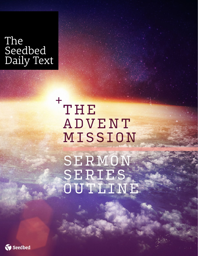# The Seedbed Daily Text

THE ADVENT MISSION +

SERMON SERIES OUTLINE

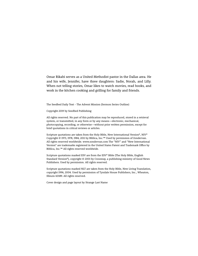Omar Rikabi serves as a United Methodist pastor in the Dallas area. He and his wife, Jennifer, have three daughters: Sadie, Norah, and Lilly. When not telling stories, Omar likes to watch movies, read books, and work in the kitchen cooking and grilling for family and friends.

The Seedbed Daily Text - The Advent Mission (Sermon Series Outline)

Copyright 2019 by Seedbed Publishing

All rights reserved. No part of this publication may be reproduced, stored in a retrieval system, or transmitted, in any form or by any means—electronic, mechanical, photocopying, recording, or otherwise—without prior written permission, except for brief quotations in critical reviews or articles.

Scripture quotations are taken from the Holy Bible, New International Version®, NIV® Copyright © 1973, 1978, 1984, 2011 by Biblica, Inc.™ Used by permission of Zondervan. All rights reserved worldwide. www.zondervan.com The "NIV" and "New International Version" are trademarks registered in the United States Patent and Trademark Office by Biblica, Inc.™ All rights reserved worldwide.

Scripture quotations marked ESV are from the ESV® Bible (The Holy Bible, English Standard Version®), copyright © 2001 by Crossway, a publishing ministry of Good News Publishers. Used by permission. All rights reserved.

Scripture quotations marked NLT are taken from the Holy Bible, New Living Translation, copyright 1996, 2004. Used by permission of Tyndale House Publishers, Inc., Wheaton, Illinois 60189. All rights reserved.

Cover design and page layout by Strange Last Name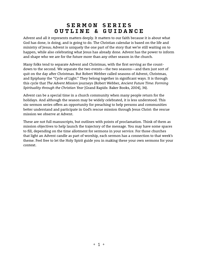## **SERMON SERIES OUTLINE & GUIDANCE**

Advent and all it represents matters deeply. It matters to our faith because it is about what God has done, is doing, and is going to do. The Christian calendar is based on the life and ministry of Jesus; Advent is uniquely the one part of the story that we're still waiting on to happen, while also celebrating what Jesus has already done. Advent has the power to inform and shape who we are for the future more than any other season in the church.

Many folks tend to separate Advent and Christmas, with the first serving as the countdown to the second. We separate the two events—the two seasons—and then just sort of quit on the day after Christmas. But Robert Webber called seasons of Advent, Christmas, and Epiphany the "Cycle of Light." They belong together in significant ways. It is through this cycle that *The Advent Mission* journeys (Robert Webber, *Ancient Future Time: Forming Spirituality through the Christian Year* [Grand Rapids: Baker Books, 2004], 34).

Advent can be a special time in a church community when many people return for the holidays. And although the season may be widely celebrated, it is less understood. This six-sermon series offers an opportunity for preaching to help persons and communities better understand and participate in God's rescue mission through Jesus Christ: the rescue mission we observe at Advent.

These are not full manuscripts, but outlines with points of proclamation. Think of them as mission objectives to help launch the trajectory of the message. You may have some spaces to fill, depending on the time allotment for sermons in your service. For those churches that light an Advent candle as part of worship, each sermon has a connection to that week's theme. Feel free to let the Holy Spirit guide you in making these your own sermons for your context.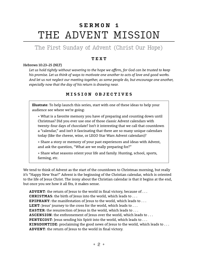## **SERMON 1** THE ADVENT MISSION

## The First Sunday of Advent (Christ Our Hope)

### **TEXT**

#### Hebrews 10:23–25 (NLT)

*Let us hold tightly without wavering to the hope we affirm, for God can be trusted to keep his promise. Let us think of ways to motivate one another to acts of love and good works. And let us not neglect our meeting together, as some people do, but encourage one another, especially now that the day of his return is drawing near.*

## **MISSION OBJECTIVES**

**Illustrate**: To help launch this series, start with one of these ideas to help your audience see where we're going:

+ What is a favorite memory you have of preparing and counting down until Christmas? Did you ever use one of those classic Advent calendars with twenty-four days of chocolate? Isn't it interesting that we call that countdown a "calendar," and isn't it fascinating that there are so many unique calendars today (like the cheese, wine, or LEGO Star Wars Advent calendars)?

+ Share a story or memory of your past experiences and ideas with Advent, and ask the question, "What are we really preparing for?"

+ Share what seasons orient your life and family. Hunting, school, sports, farming, etc.

We tend to think of Advent as the start of the countdown to Christmas morning, but really it's "Happy New Year!" Advent is the beginning of the Christian calendar, which is oriented to the life of Jesus Christ. The irony about the Christian calendar is that it begins at the end, but once you see how it all fits, it makes sense.

**ADVENT**: the return of Jesus to the world in final victory, because of . . . **CHRISTMAS**: the birth of Jesus into the world, which leads to . . . **EPIPHANY**: the manifestation of Jesus to the world, which leads to . . . **LENT**: Jesus' journey to the cross for the world, which leads to . . . **EASTER:** the resurrection of Jesus in the world, which leads to . . . ASCENSION: the enthronement of Jesus over the world, which leads to . . . **PENTECOST**: Jesus sending his Spirit into the world, which leads to . . . **KINGDOMTIDE**: proclaiming the good news of Jesus to the world, which leads to . . . **ADVENT**: the return of Jesus to the world in final victory.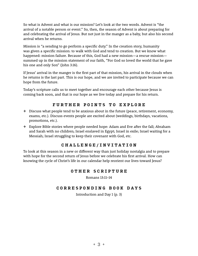So what is Advent and what is our mission? Let's look at the two words. Advent is "the arrival of a notable person or event." So, then, the season of Advent is about preparing for and celebrating the arrival of Jesus. But not just in the manger as a baby, but also his second arrival when he returns.

Mission is "a sending to go perform a specific duty." In the creation story, humanity was given a specific mission: to walk with God and tend to creation. But we know what happened: mission failure. Because of this, God had a new mission—a rescue mission summed up in the mission statement of our faith, "For God so loved the world that he gave his one and only Son" (John 3:16).

If Jesus' arrival in the manger is the first part of that mission, his arrival in the clouds when he returns is the last part. This is our hope, and we are invited to participate because we can hope from the future.

Today's scripture calls us to meet together and encourage each other because Jesus is coming back soon, and that is our hope as we live today and prepare for his return.

### **FURTHER POINTS TO EXPLORE**

- + Discuss what people tend to be anxious about in the future (peace, retirement, economy, exams, etc.). Discuss events people are excited about (weddings, birthdays, vacations, promotions, etc.).
- + Explore Bible stories where people needed hope: Adam and Eve after the fall; Abraham and Sarah with no children; Israel enslaved in Egypt; Israel in exile; Israel waiting for a Messiah; Israel struggling to keep their covenant with God, etc.

### **CHALLENGE/INVITATION**

To look at this season in a new or different way than just holiday nostalgia and to prepare with hope for the second return of Jesus before we celebrate his first arrival. How can knowing the cycle of Christ's life in our calendar help reorient our lives toward Jesus?

#### **OTHER SCRIPTURE**

Romans 13:11–14

#### **CORRESPONDING BOOK DAYS**

Introduction and Day 1 (p. 3)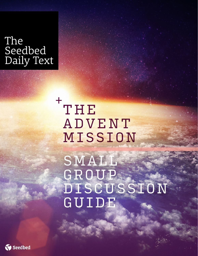# The Seedbed Daily Text

# THE ADVENT MISSION +

SMALL GROUP DISCUSSION GUIDE

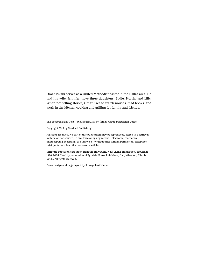Omar Rikabi serves as a United Methodist pastor in the Dallas area. He and his wife, Jennifer, have three daughters: Sadie, Norah, and Lilly. When not telling stories, Omar likes to watch movies, read books, and work in the kitchen cooking and grilling for family and friends.

The Seedbed Daily Text - *The Advent Mission* (Small Group Discussion Guide)

Copyright 2019 by Seedbed Publishing

All rights reserved. No part of this publication may be reproduced, stored in a retrieval system, or transmitted, in any form or by any means—electronic, mechanical, photocopying, recording, or otherwise—without prior written permission, except for brief quotations in critical reviews or articles.

Scripture quotations are taken from the Holy Bible, New Living Translation, copyright 1996, 2004. Used by permission of Tyndale House Publishers, Inc., Wheaton, Illinois 60189. All rights reserved.

Cover design and page layout by Strange Last Name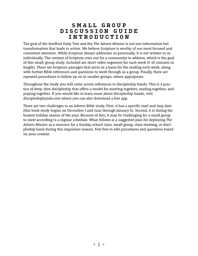## **SMALL GROUP DISCUSSION GUIDE INTRODUCTION**

The goal of the Seedbed Daily Text and the *The Advent Mission* is not just information but transformation that leads to action. We believe Scripture is worthy of our most focused and consistent attention. While Scripture always addresses us personally, it is not written to us individually. The content of Scripture cries out for a community to address, which is the goal of this small-group study. Included are short video segments for each week (5–10 minutes in length). There are Scripture passages that serve as a basis for the reading each week, along with further Bible references and questions to work through as a group. Finally, there are repeated procedures to follow up on in smaller groups, where appropriate.

Throughout the study you will come across references to discipleship bands. This is a practice of deep-dive discipleship that offers a model for meeting together, reading together, and praying together. If you would like to learn more about discipleship bands, visit discipleshipbands.com where you can also download a free app.

There are two challenges to an Advent Bible study. First, it has a specific start and stop date (this book study begins on December 1 and runs through January 6). Second, it is during the busiest holiday season of the year. Because of this, it may be challenging for a small group to meet according to a regular schedule. What follows is a suggested plan for deploying *The Advent Mission* as a resource for a Sunday school class, small group, class meeting, or discipleship band during this important season. Feel free to edit procedures and questions based on your context.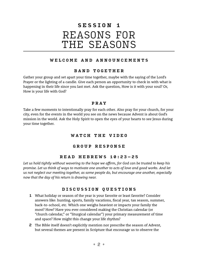## **SESSION 1** REASONS FOR THE SEASONS

## **WELCOME AND ANNOUNCEMENTS**

### **BAND TOGETHER**

Gather your group and set apart your time together, maybe with the saying of the Lord's Prayer or the lighting of a candle. Give each person an opportunity to check in with what is happening in their life since you last met. Ask the question, How is it with your soul? Or, How is your life with God?

### **PRAY**

Take a few moments to intentionally pray for each other. Also pray for your church, for your city, even for the events in the world you see on the news because Advent is about God's mission in the world. Ask the Holy Spirit to open the eyes of your hearts to see Jesus during your time together.

## **W A T C H T H E V I D E O**

## **GROUP RESPONSE**

## **READ HEBREWS 10:23–25**

*Let us hold tightly without wavering to the hope we affirm, for God can be trusted to keep his promise. Let us think of ways to motivate one another to acts of love and good works. And let us not neglect our meeting together, as some people do, but encourage one another, especially now that the day of his return is drawing near.*

## **DISCUSSION QUESTIONS**

- 1 What holiday or season of the year is your favorite or least favorite? Consider answers like: hunting, sports, family vacations, fiscal year, tax season, summer, back-to-school, etc. Which one weighs heaviest or impacts your family the most? How? Have you ever considered making the Christian calendar (or "church calendar," or "liturgical calendar") your primary measurement of time and space? How might this change your life rhythm?
- 2 The Bible itself doesn't explicitly mention nor prescribe the season of Advent, but several themes are present in Scripture that encourage us to observe the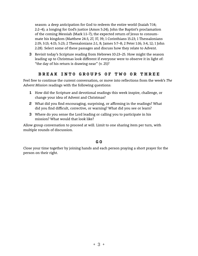season: a deep anticipation for God to redeem the entire world (Isaiah 7:14; 2:2–4); a longing for God's justice (Amos 5:24); John the Baptist's proclamation of the coming Messiah (Mark 1:1–7); the expected return of Jesus to consummate his kingdom (Matthew 24:3, 27, 37, 39; 1 Corinthians 15:23; 1 Thessalonians 2:19; 3:13; 4:15; 5:23; 2 Thessalonians 2:1, 8; James 5:7–8; 2 Peter 1:16; 3:4, 12; 1 John 2:28). Select some of these passages and discuss how they relate to Advent.

3 Revisit today's Scripture reading from Hebrews 10:23–25. How might the season leading up to Christmas look different if everyone were to observe it in light of: "the day of his return is drawing near" (v. 25)?

## **BREAK INTO GROUPS OF TWO OR THREE**

Feel free to continue the current conversation, or move into reflections from the week's *The Advent Mission* readings with the following questions:

- 1 How did the Scripture and devotional readings this week inspire, challenge, or change your idea of Advent and Christmas?
- 2 What did you find encouraging, surprising, or affirming in the readings? What did you find difficult, corrective, or warning? What did you see or learn?
- 3 Where do you sense the Lord leading or calling you to participate in his mission? What would that look like?

Allow group conversation to proceed at will. Limit to one sharing item per turn, with multiple rounds of discussion.

### **G O**

Close your time together by joining hands and each person praying a short prayer for the person on their right.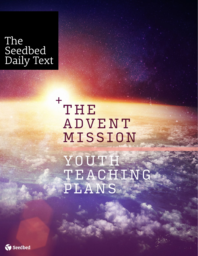# The Seedbed Daily Text

THE ADVENT MISSION +

YOUTH TEACHING PLANS

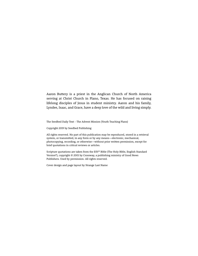Aaron Buttery is a priest in the Anglican Church of North America serving at Christ Church in Plano, Texas. He has focused on raising lifelong disciples of Jesus in student ministry. Aaron and his family, Lyndee, Isaac, and Grace, have a deep love of the wild and living simply.

The Seedbed Daily Text - The Advent Mission (Youth Teaching Plans)

Copyright 2019 by Seedbed Publishing

All rights reserved. No part of this publication may be reproduced, stored in a retrieval system, or transmitted, in any form or by any means—electronic, mechanical, photocopying, recording, or otherwise—without prior written permission, except for brief quotations in critical reviews or articles.

Scripture quotations are taken from the ESV® Bible (The Holy Bible, English Standard Version®), copyright © 2001 by Crossway, a publishing ministry of Good News Publishers. Used by permission. All rights reserved.

Cover design and page layout by Strange Last Name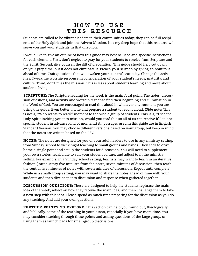## **HOW TO USE THIS RESOURCE**

Students are called to be vibrant leaders in their communities today; they can be full recipients of the Holy Spirit and join the Advent Mission. It is my deep hope that this resource will serve you and your students in that direction.

I would like to give an outline of how this guide may best be used and specific instructions for each element. First, don't neglect to pray for your students to receive from Scripture and the Spirit. Second, give yourself the gift of preparation. This guide should help cut down on your prep time, but it does not eliminate it. Preach your sermon by giving an hour to it ahead of time. Craft questions that will awaken your student's curiosity. Change the activities. Tweak the worship response in consideration of your student's needs, maturity, and culture. Third, don't miss the mission. This is less about students learning and more about students living.

**SCRIPTURE**: The Scripture reading for the week is the main focal point. The notes, discussion questions, and activity and worship response find their beginning and culmination in the Word of God. You are encouraged to read this aloud in whatever environment you are using this guide. Even better, invite and prepare a student to read it aloud. (Side note: This is not a, "Who wants to read?" moment to the whole group of students. This is a, "I see the Holy Spirit inviting you into mission, would you read this so all of us can receive it?" to one specific student in advance kind of moment.) All passages used in this guide are in English Standard Version. You may choose different versions based on your group, but keep in mind that the notes are written based on the ESV.

**NOTES**: The notes are designed for you or your adult leaders to use in any ministry setting, from Sunday school to week night teaching to small groups and bands. They seek to drive home a single point and set up the students for discussion. You will need to supplement your own stories, recalibrate to suit your student culture, and adjust to fit the ministry setting. For example, in a Sunday school setting, teachers may want to teach in an iterative fashion (introductory five minutes from the notes, seven minutes of discussion, then teach the central five minutes of notes with seven minutes of discussion. Repeat until complete). While in a small-group setting, you may want to share the notes ahead of time with your students and then dive deep into discussion and response when gathered together.

**DISCUSSION QUESTIONS**: These are designed to help the students rephrase the main idea of the week, reflect on how they receive the main idea, and then challenge them to take a next step with this idea. Please spend as much time preparing for the discussion as you do any teaching. And add your own questions!

**FURTHER POINTS TO EXPLORE**: This section can help you round out, theologically and biblically, some of the teaching in your lesson, especially if you have more time. You may consider teaching through these points and asking questions of the large group, or using them as launch pads for small-group discussions.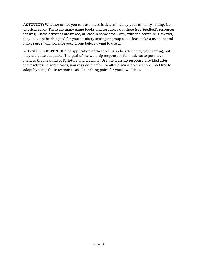**ACTIVITY**: Whether or not you can use these is determined by your ministry setting, i. e., physical space. There are many game books and resources out there (see Seedbed's resources for this). These activities are linked, at least in some small way, with the scripture. However, they may not be designed for your ministry setting or group size. Please take a moment and make sure it will work for your group before trying to use it.

**WORSHIP RESPONSE**: The application of these will also be affected by your setting, but they are quite adaptable. The goal of the worship response is for students to put movement to the meaning of Scripture and teaching. Use the worship response provided after the teaching. In some cases, you may do it before or after discussion questions. Feel free to adapt by using these responses as a launching point for your own ideas.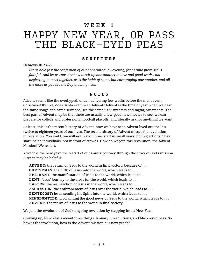## **WEEK 1**

## HAPPY NEW YEAR, OR PASS THE BLACK-EYED PEAS

### **SCRIPTURE**

Hebrews 10:23–25

*Let us hold fast the confession of our hope without wavering, for he who promised is faithful. And let us consider how to stir up one another to love and good works, not neglecting to meet together, as is the habit of some, but encouraging one another, and all the more as you see the Day drawing near.*

#### **NOTES**

Advent seems like the overhyped, under-delivering few weeks before the main event: Christmas! It's like, does Santa even need Advent? Advent is the time of year when we hear the same songs and same sermons, see the same ugly sweaters and ragtag ornaments. The best part of Advent may be that there are usually a few good new movies to see, we can prepare for college and professional football playoffs, and literally ask for anything we want.

At least, this is the recent history of Advent, how we have seen Advent lived out the last twelve to eighteen years of our lives. The recent history of Advent misses the revolution in revelation. You and I, we will not. Revolutions start in small ways, not big actions. They start inside individuals, not in front of crowds. How do we join this revolution, the Advent Mission? We restart.

Advent is the new year, the restart of our annual journey through the story of God's mission. A recap may be helpful:

**ADVENT**: the return of Jesus to the world in final victory, because of . . . **CHRISTMAS**: the birth of Jesus into the world, which leads to . . . **EPIPHANY**: the manifestation of Jesus to the world, which leads to . . . **LENT**: Jesus' journey to the cross for the world, which leads to ... **EASTER:** the resurrection of Jesus in the world, which leads to ... ASCENSION: the enthronement of Jesus over the world, which leads to . . . **PENTECOST**: Jesus sending his Spirit into the world, which leads to . . . **KINGDOMTIDE**: proclaiming the good news of Jesus to the world, which leads to . . . **ADVENT**: the return of Jesus to the world in final victory.

We join the revolution of God's ongoing revelation by stepping into a New Year.

Growing up, New Year's meant three things: January 1, resolutions, and black-eyed peas. So how is the revolution, how is the Advent Mission our new year's?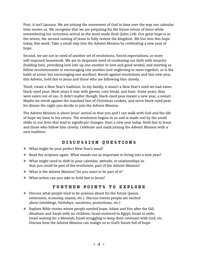First, it isn't January. We are joining the movement of God in time over the way our calendar time moves us. We recognize that we are preparing for the future return of Jesus while remembering his victorious arrival as the word made flesh (John 1:14). Our great hope is in the return, the second coming of Jesus to fully restore the kingdom. We live into this hope today, this week. Take a small step into the Advent Mission by celebrating a new year of hope.

Second, we are not in need of another set of resolutions, forced expectations, or more self-imposed homework. We are in desperate need of confessing our faith with tenacity (holding fast), provoking love (stir up one another to love and good works), and meeting as fellow revolutionaries to encouraging one another (not neglecting to meet together, as is the habit of some, but encouraging one another). Revolt against resolutions and this new year, this Advent, hold fast to Jesus and those who are following him closely.

Third, create a New Year's tradition. In my family, it wasn't a New Year's until we had eaten black-eyed peas. Most years it was with greens, corn bread, and ham. Some years, they were eaten out of can. It didn't matter though, black-eyed peas meant a new year, a restart. Maybe we revolt against the standard fare of Christmas cookies, and serve black-eyed peas for dinner the night you decide to join the Advent Mission.

The Advent Mission is about Jesus' arrival so that you and I can walk with God and the life of hope we have in his return. The revolution begins in us and is made real by the small shifts in our lives that lead to significant changes. Start a new year today. Hold fast to Jesus and those who follow him closely. Celebrate and mark joining the Advent Mission with a new tradition.

## **DISCUSSION QUESTIONS**

- + What might be your perfect New Year's meal?
- + Read the scripture again. What stands out as important to living into a new year?
- + What might need to shift in your calendar, attitude, or relationships so that you could be part of the revolution, part of the Advent Mission?
- + What is the Advent Mission? Do you want to be part of it?
- + What action can you take to hold fast to Jesus?

## **FURTHER POINTS TO EXPLORE**

- + Discuss what people tend to be anxious about for the future (peace, retirement, economy, exams, etc.). Discuss events people are excited about (weddings, birthdays, vacations, promotions, etc.)
- + Explore Bible stories where people needed hope: Adam and Eve after the fall; Abraham and Sarah with no children; Israel enslaved in Egypt; Israel in exile; Israel waiting for a Messiah; Israel struggling to keep their covenant with God, etc. Discuss how the Advent Mission can realign us to God's future full of hope.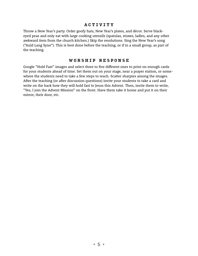#### **ACTIVITY**

Throw a New Year's party. Order goofy hats, New Year's plates, and décor. Serve blackeyed peas and only eat with large cooking utensils (spatulas, straws, ladles, and any other awkward item from the church kitchen.) Skip the resolutions. Sing the New Year's song ("Auld Lang Syne"). This is best done before the teaching, or if in a small group, as part of the teaching.

### **WORSHIP RESPONSE**

Google "Hold Fast" images and select three to five different ones to print on enough cards for your students ahead of time. Set them out on your stage, near a prayer station, or somewhere the students need to take a few steps to reach. Scatter sharpies among the images. After the teaching (or after discussion questions) invite your students to take a card and write on the back how they will hold fast to Jesus this Advent. Then, invite them to write, "Yes, I join the Advent Mission" on the front. Have them take it home and put it on their mirror, their door, etc.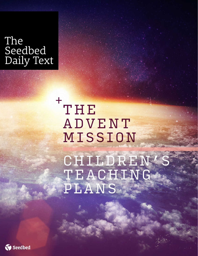# The Seedbed Daily Text

THE ADVENT MISSION + **CHILDREN** TEACHING PLANS.

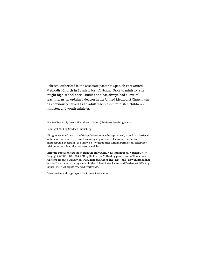Rebecca Rutherford is the associate pastor at Spanish Fort United Methodist Church in Spanish Fort, Alabama. Prior to ministry, she taught high school social studies and has always had a love of teaching. As an ordained deacon in the United Methodist Church, she has previously served as an adult discipleship minister, children's minister, and youth minister.

The Seedbed Daily Text - *The Advent Mission* (Children's Teaching Plans)

Copyright 2019 by Seedbed Publishing

All rights reserved. No part of this publication may be reproduced, stored in a retrieval system, or transmitted, in any form or by any means—electronic, mechanical, photocopying, recording, or otherwise—without prior written permission, except for brief quotations in critical reviews or articles.

Scripture quotations are taken from the Holy Bible, New International Version®, NIV® Copyright © 1973, 1978, 1984, 2011 by Biblica, Inc.™ Used by permission of Zondervan. All rights reserved worldwide. www.zondervan.com The "NIV" and "New International Version" are trademarks registered in the United States Patent and Trademark Office by Biblica, Inc.™ All rights reserved worldwide.

Cover design and page layout by Strange Last Name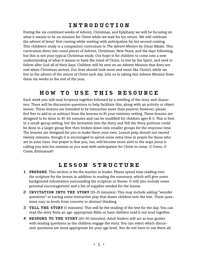## **INTRODUCTION**

During the six combined weeks of Advent, Christmas, and Epiphany we will be focusing on what it means to be on mission for Christ while we wait for his return. We will celebrate the advent of Jesus' first coming while waiting with anticipation for his second coming. This children's study is a companion curriculum to *The Advent Mission* by Omar Rikabi. This curriculum dives into some pieces of Advent, Christmas, New Years, and the days following, but this is not your typical Christmas study. Our hope is for children to come into a new understanding of what it means to have the mind of Christ, to live by the Spirit, and seek to follow after God all of their days. Children will be sent on an Advent Mission that does not end when Christmas arrives. Our lives should look more and more like Christ's while we live in the advent of the return of Christ each day. Join us in taking this Advent Mission from these six weeks to the rest of the year.

## **HOW TO USE THIS RESOURCE**

Each week you will read Scripture together followed by a retelling of the story and characters. There will be discussion questions to help facilitate this, along with an activity or object lesson. These lessons are intended to be interactive more than passive; however, please feel free to add to or subtract from the lessons to fit your ministry setting. These lessons are designed to be done in 45–60 minutes and can be modified for children ages K-5. This is best in a small-group setting, but the Invitation into the Story and Tell the Story portions could be done in a larger group first then broken down into smaller groups for the response time. The lessons are designed for you to make them your own. Lesson prep should not exceed twenty minutes, though it is encouraged to spend some extra time in prayer for those who are in your class. Our prayer is that you, too, will become more alert to the ways Jesus is calling you into his mission as you wait with anticipation for Christ to come. O Come, O Come, Emmanuel!

## **LESSON STRUCTURE**

- 1 **PREPARE**: This section is for the teacher or leader. Please spend time reading over the scripture for the lesson in addition to reading the summary, which will give some background information surrounding the scripture or theme. It will also include some personal encouragement and a list of supplies needed for the lesson.
- 2 **INVITATION INTO THE STORY** (10–15 minutes): This may include asking "wonder questions" or having some interactive play that draws children into the text. These questions vary in levels from concrete to abstract thinking.
- 3 **TELL THE STORY** (5 minutes): This will be the reading of the text for the day. You can read the story from an age-appropriate Bible or have children read it out loud together.
- 4 **RESPOND TO THE STORY** (20–30 minutes): Adult leaders will act as tour guides with leading questions as the children engage the story. You can select which discussion questions are most appropriate for your age level. You do not have to use them all.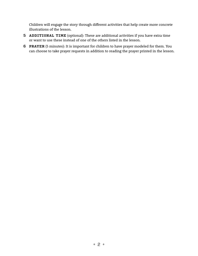Children will engage the story through different activities that help create more concrete illustrations of the lesson.

- 5 **ADDITIONAL TIME** (optional): These are additional activities if you have extra time or want to use these instead of one of the others listed in the lesson.
- 6 **PRAYER** (5 minutes): It is important for children to have prayer modeled for them. You can choose to take prayer requests in addition to reading the prayer printed in the lesson.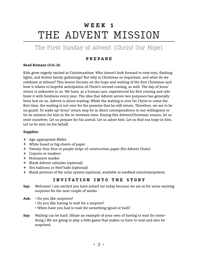## **WEEK 1** THE ADVENT MISSION

## The First Sunday of Advent (Christ Our Hope)

## **PREPARE**

#### **Read Romans 13:11–14.**

Kids grow eagerly excited at Christmastime. Who doesn't look forward to new toys, flashing lights, and festive family gatherings? But why is Christmas so important, and what do we celebrate at Advent? This lesson focuses on the hope and waiting of the first Christmas and how it relates to hopeful anticipation of Christ's second coming, as well. The day of Jesus' return is unknown to us. We have, as a human race, experienced his first coming and celebrate it with fondness every year. The idea that Advent serves two purposes has generally been lost on us. Advent is about waiting. While the waiting is over for Christ to come the first time, the waiting is not over for the promise that he will return. Therefore, we are to be on guard. To wake up! Jesus' return may be in direct correspondence to our willingness to be on mission for him in the in-between time. During this Advent/Christmas season, let us reset ourselves. Let us prepare for his arrival. Let us adore him. Let us find our hope in him. Let us be sent on his behalf.

#### **Supplies:**

- + Age-appropriate Bibles
- + White board or big sheets of paper
- + Twenty-four blue or purple strips of construction paper (for Advent Chain)
- + Crayons or markers
- + Permanent marker
- + Blank Advent calendar (optional)
- + Ten balloons or Nerf balls (optional)
- + Blank printout of the solar system (optional, available at seedbed.com/solarsystem)

## **INVITATION INTO THE STORY**

- **Say:** Welcome! I am excited you have joined me today because we are in for some exciting surprises for the next couple of weeks.
- **Ask:** Do you like surprises?
	- Do you like having to wait for a surprise?
	- When have you had to wait for something (good or bad)?
- **Say:** Waiting can be hard. (Share an example of your own of having to wait for something.) We are going to play a little game that makes us have to wait and also be surprised.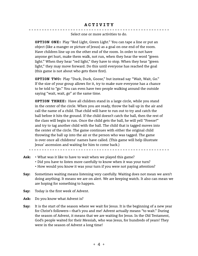Select one or more activities to do.

**OPTION ONE:** Play "Red Light, Green Light." You can tape a line or put an object (like a manger or picture of Jesus) as a goal on one end of the room. Have children line up on the other end of the room. In order to not have anyone get hurt, make them walk, not run, when they hear the word "green light." When they hear "red light," they have to stop. When they hear "green light," they may move forward. Do this until everyone has reached the goal (this game is not about who gets there first).

**OPTION TWO:** Play "Duck, Duck, Goose," but instead say "Wait, Wait, Go." If the size of your group allows for it, try to make sure everyone has a chance to be told to "go." You can even have two people walking around the outside saying "wait, wait, go" at the same time.

**OPTION THREE:** Have all children stand in a large circle, while you stand in the center of the circle. When you are ready, throw the ball up in the air and call the name of a child. That child will have to run out to try and catch the ball before it hits the ground. If the child doesn't catch the ball, then the rest of the class will begin to run. Once the child gets the ball, he will yell "Freeze!" and try to tag another child with the ball. The child that is tagged moves into the center of the circle. The game continues with either the original child throwing the ball up into the air or the person who was tagged. The game is over once all childrens' names have called. (This game will help illustrate Jesus' ascension and waiting for him to come back.)

- **Ask:** What was it like to have to wait when we played this game?
	- Did you have to listen more carefully to know when it was your turn?
	- How would you know it was your turn if you were not paying attention?
- **Say:** Sometimes waiting means listening very carefully. Waiting does not mean we aren't doing anything. It means we are on alert. We are keeping watch. It also can mean we are hoping for something to happen.
- **Say:** Today is the first week of Advent.

**Ask:** Do you know what Advent is?

**Say:** It is the start of the season where we wait for Jesus. It is the beginning of a new year for Christ's followers—that's you and me! Advent actually means "to wait." During the season of Advent, it means that we are waiting for Jesus. In the Old Testament, God's people waited for their Messiah, who was Jesus, for hundreds of years! They were in the season of Advent a long time!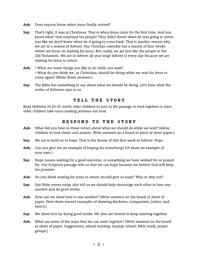- **Ask:** Does anyone know when Jesus finally arrived?
- **Say:** That's right, it was at Christmas. That is when Jesus came for the first time. And you know what? God surprised his people! They didn't know when he was going to arrive just like we don't know when he is going to come back. That is another reason why we are in a season of Advent. Our Christian calendar has a season of four weeks where we focus on waiting for Jesus. But, really, we are just like the people in the Old Testament. We are in Advent all year long! Advent is every day because we are waiting for Jesus to return.
- **Ask:** What are some things you like to do while you wait? • What do you think we, as Christians, should be doing while we wait for Jesus to come again? (Write down answers.)
- **Say:** The Bible has something to say about what we should be doing. Let's hear what the writer of Hebrews says to us.

#### **TELL THE STORY**

Read Hebrews 10:23–25. Invite older children to turn to the passage to read together or have older children take turns reading portions out loud.

#### **RESPOND TO THE STORY**

- **Ask:** What did you hear in those verses about what we should do while we wait? (Allow children to look closer and answer. Write answers on a board or piece of sheet paper.)
- **Say:** We are to hold on to hope. That is the theme of this first week of Advent: Hope.
- **Ask:** Can you give me an example of hoping for something? (Or share an example of your own.)
- **Say:** Hope means waiting for a good outcome, or something we have wished for or prayed for. Our Scripture passage tells us that we can hope because we believe God will keep his promise.
- **Ask:** Do you think waiting for Jesus to return should give us hope? Why or why not?
- **Say:** Our Bible verses today also tell us we should help encourage each other to love one another and do good works.
- **Ask:** How can we show love to one another? (Write answers on the board or sheet of paper. Steer them toward examples of showing kindness, compassion, justice, and mercy.)
- **Say:** We show love by doing good works. We also are invited to keep meeting together.
- **Ask:** What are some of the ways that we can meet together? (Write answers on the board or sheet of paper. Suggestions: attend worship, Sunday school, Bible study, prayer groups.)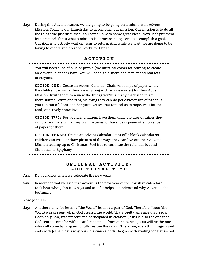**Say:** During this Advent season, we are going to be going on a mission: an Advent Mission. Today is our launch day to accomplish our mission. Our mission is to do all the things we just discussed. You came up with some great ideas! Now, let's put them into practice! That's what a mission is. It means being sent to accomplish a goal. Our goal is to actively wait on Jesus to return. And while we wait, we are going to be loving to others and do good works for Christ.

### **ACTIVITY**

You will need slips of blue or purple (the liturgical colors for Advent) to create an Advent Calendar Chain. You will need glue sticks or a stapler and markers or crayons.

**OPTION ONE:** Create an Advent Calendar Chain with slips of paper where the children can write their ideas (along with any new ones) for their Advent Mission. Invite them to review the things you've already discussed to get them started. Write one tangible thing they can do per day/per slip of paper. If you run out of ideas, add Scripture verses that remind us to hope, wait for the Lord, or actively show love.

**OPTION TWO:** For younger children, have them draw pictures of things they can do for others while they wait for Jesus, or have ideas pre-written on slips of paper for them.

**OPTION THREE:** Create an Advent Calendar. Print off a blank calendar so children can write or draw pictures of the ways they can live out their Advent Mission leading up to Christmas. Feel free to continue the calendar beyond Christmas to Epiphany.

**OPTIONAL ACTIVITY/ ADDITIONAL TIME**

**Ask:** Do you know when we celebrate the new year?

. <u>. . . . . . . . . .</u> . .

**Say:** Remember that we said that Advent is the new year of the Christian calendar? Let's hear what John 1:1–5 says and see if it helps us understand why Advent is the beginning.

Read John 1:1-5.

**Say:** Another name for Jesus is "the Word." Jesus is a part of God. Therefore, Jesus (the Word) was present when God created the world. That's pretty amazing that Jesus, God's only Son, was present and participated in creation. Jesus is also the one that God sent to come be with us and redeem us from our sin. And Jesus will be the one who will come back again to fully restore the world. Therefore, everything begins and ends with Jesus. That's why our Christian calendar begins with waiting for Jesus—not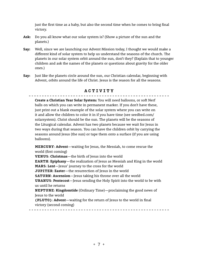just the first time as a baby, but also the second time when he comes to bring final victory.

- **Ask:** Do you all know what our solar system is? (Show a picture of the sun and the planets.)
- **Say:** Well, since we are launching our Advent Mission today, I thought we would make a different kind of solar system to help us understand the seasons of the church. The planets in our solar system orbit around the sun, don't they? (Explain that to younger children and ask the names of the planets or questions about gravity for the older ones.)
- **Say:** Just like the planets circle around the sun, our Christian calendar, beginning with Advent, orbits around the life of Christ. Jesus is the reason for all the seasons.

## **ACTIVITY**

**Create a Christian Year Solar System:** You will need balloons, or soft Nerf balls on which you can write in permanent marker. If you don't have these, just print out a blank example of the solar system where you can write on it and allow the children to color it in if you have time (see seedbed.com/ solarsystem). Christ should be the sun. The planets will be the seasons of the Liturgical calendar. Advent has two planets because we wait for Jesus in two ways during that season. You can have the children orbit by carrying the seasons around Jesus (the sun) or tape them onto a surface (if you are using balloons).

**MERCURY**: **Advent**—waiting for Jesus, the Messiah, to come rescue the world (first coming)

**VENUS**: **Christmas**—the birth of Jesus into the world **EARTH**: **Epiphany**—the realization of Jesus as Messiah and King in the world **MARS**: **Lent**—Jesus' journey to the cross for the world **JUPITER**: **Easter**—the resurrection of Jesus in the world **SATURN**: **Ascension**—Jesus taking his throne over all the world **URANUS**: **Pentecost**—Jesus sending the Holy Spirit into the world to be with us until he returns **NEPTUNE**: **Kingdomtide** (Ordinary Time)—proclaiming the good news of Jesus to the world **(PLUTO)**: **Advent**—waiting for the return of Jesus to the world in final victory (second coming)

<sup>+</sup> 7 <sup>+</sup>